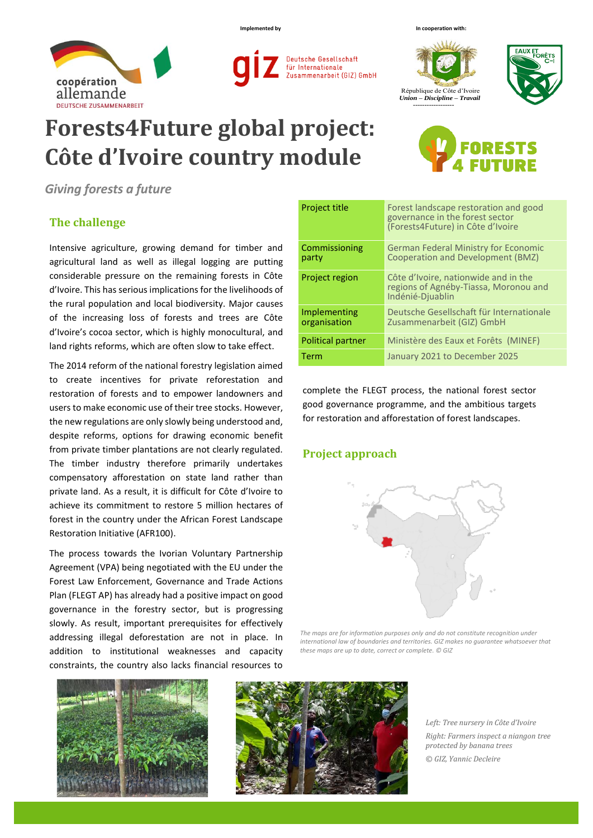



## **Forests4Future global project: Côte d'Ivoire country module**

*Giving forests a future*

## **The challenge**

Intensive agriculture, growing demand for timber and agricultural land as well as illegal logging are putting considerable pressure on the remaining forests in Côte d'Ivoire. This has serious implications for the livelihoods of the rural population and local biodiversity. Major causes of the increasing loss of forests and trees are Côte d'Ivoire's cocoa sector, which is highly monocultural, and land rights reforms, which are often slow to take effect.

The 2014 reform of the national forestry legislation aimed to create incentives for private reforestation and restoration of forests and to empower landowners and users to make economic use of their tree stocks. However, the new regulations are only slowly being understood and, despite reforms, options for drawing economic benefit from private timber plantations are not clearly regulated. The timber industry therefore primarily undertakes compensatory afforestation on state land rather than private land. As a result, it is difficult for Côte d'Ivoire to achieve its commitment to restore 5 million hectares of forest in the country under the African Forest Landscape Restoration Initiative (AFR100).

The process towards the Ivorian Voluntary Partnership Agreement (VPA) being negotiated with the EU under the Forest Law Enforcement, Governance and Trade Actions Plan (FLEGT AP) has already had a positive impact on good governance in the forestry sector, but is progressing slowly. As result, important prerequisites for effectively addressing illegal deforestation are not in place. In addition to institutional weaknesses and capacity constraints, the country also lacks financial resources to





*Left: Tree nursery in Côte d'Ivoire Right: Farmers inspect a niangon tree protected by banana trees © GIZ, Yannic Decleire*

| <b>Project title</b>         | Forest landscape restoration and good<br>governance in the forest sector<br>(Forests4Future) in Côte d'Ivoire |  |
|------------------------------|---------------------------------------------------------------------------------------------------------------|--|
| Commissioning<br>party       | <b>German Federal Ministry for Economic</b><br>Cooperation and Development (BMZ)                              |  |
| <b>Project region</b>        | Côte d'Ivoire, nationwide and in the<br>regions of Agnéby-Tiassa, Moronou and<br>Indénié-Diuablin             |  |
| Implementing<br>organisation | Deutsche Gesellschaft für Internationale<br>Zusammenarbeit (GIZ) GmbH                                         |  |
| <b>Political partner</b>     | Ministère des Eaux et Forêts (MINEF)                                                                          |  |
| Term                         | January 2021 to December 2025                                                                                 |  |

complete the FLEGT process, the national forest sector good governance programme, and the ambitious targets for restoration and afforestation of forest landscapes.

## **Project approach**



*The maps are for information purposes only and do not constitute recognition under international law of boundaries and territories. GIZ makes no guarantee whatsoever that these maps are up to date, correct or complete. © GIZ*